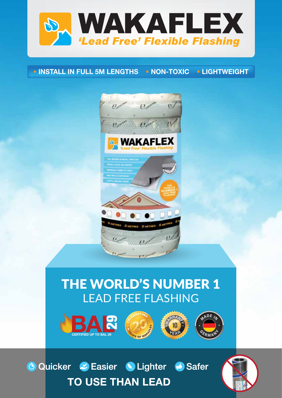

## • INSTALL IN FULL 5M LENGTHS • NON-TOXIC • LIGHTWEIGHT



## THE WORLD'S NUMBER 1 LEAD FREE FLASHING